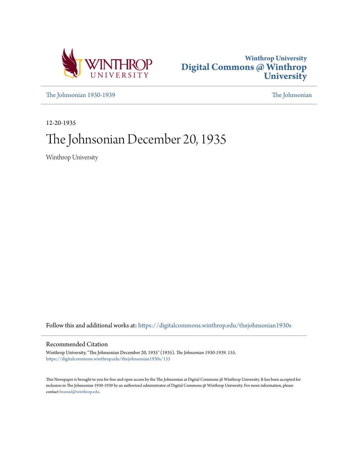



[The Johnsonian 1930-1939](https://digitalcommons.winthrop.edu/thejohnsonian1930s?utm_source=digitalcommons.winthrop.edu%2Fthejohnsonian1930s%2F155&utm_medium=PDF&utm_campaign=PDFCoverPages) [The Johnsonian](https://digitalcommons.winthrop.edu/thejohnsonian_newspaper?utm_source=digitalcommons.winthrop.edu%2Fthejohnsonian1930s%2F155&utm_medium=PDF&utm_campaign=PDFCoverPages)

12-20-1935

# The Johnsonian December 20, 1935

Winthrop University

Follow this and additional works at: [https://digitalcommons.winthrop.edu/thejohnsonian1930s](https://digitalcommons.winthrop.edu/thejohnsonian1930s?utm_source=digitalcommons.winthrop.edu%2Fthejohnsonian1930s%2F155&utm_medium=PDF&utm_campaign=PDFCoverPages)

# Recommended Citation

Winthrop University, "The Johnsonian December 20, 1935" (1935). *The Johnsonian 1930-1939*. 155. [https://digitalcommons.winthrop.edu/thejohnsonian1930s/155](https://digitalcommons.winthrop.edu/thejohnsonian1930s/155?utm_source=digitalcommons.winthrop.edu%2Fthejohnsonian1930s%2F155&utm_medium=PDF&utm_campaign=PDFCoverPages)

This Newspaper is brought to you for free and open access by the The Johnsonian at Digital Commons @ Winthrop University. It has been accepted for inclusion in The Johnsonian 1930-1939 by an authorized administrator of Digital Commons @ Winthrop University. For more information, please contact [bramed@winthrop.edu](mailto:bramed@winthrop.edu).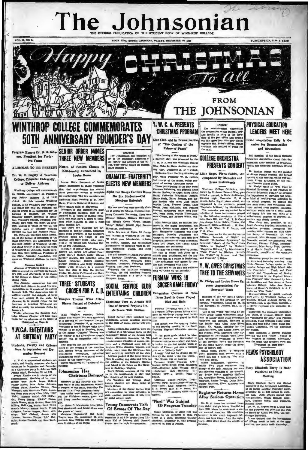# The Jol sonia SUBSCRIPTION, SLOP A YEAR

TTH CAROLINA, FRIDAY, DECEMBER 20

# HROP COLLEGE COMME **50TH ANNIVERSARY FOUNDER'S DAY ONE ON A MAIL DTAINER AND ADDRESS.**

ors Dr. D. B. John a, Presia ent for Fortytwo Years

VOL. 11, NO. 12

ALUMNAE TO BE PRESENT

Dr. W. C. Bagley of Teachers<br>College, Columbia University, to Deliver Address

p College will comm may. Priday, January 10, at 10:30 Catherine Runt Pauling of St. Matter<br>Cololege, On this Sounder's Day Program these, Frances Burnette of Belion, and<br>will honor not conjugate, but Matter stars within a Matterial and will

dining room.<br>The Alumnae Association has also<br>invited each chapter to send five rep-<br>resentative, to be guests of the college<br>January 9-12. The Association has in elected one delegate at lar sometime record one delegate at large<br>from each county in the state. All<br>planning to be present either for the<br>exercises or Alumnae Weck-end are<br>ated to notify the Alumnae Office by<br>annus at **January 2**<br>'Priday

Tra-<br>Admann Chapter will have open<br>Johnson Chapter will have open<br>for the Alumnae at the home of<br>Constinued on Page 4)

## Y.W.C.A. ENTERTAINS AT BIRTHDAY PART

#### Students, Faculty and Office Born 'n September and D cember Honored

cember Honored<br>
T. W. C. A. celeration datestic, of  $\overline{X}$ , w. C. A. celeration<br>
in the final and factory momentum of December and the final and<br>  $\overline{X}$  and faculty member and December<br>
at a Christman party in Johnson

# **SENIOR ORDER NAMES THREE NEW MEMBERS**

Names of Seniors Chosen Kembership Announced By **Louise Howe** 

Louise Howe, Presi Louise Howe, President of S that thet organization has electrice prominent seniors to compl Windows College win Connector's three prominents sensors to compare the fifth and the main prominent in the are members are not been as on the constant Windows Collegens and the connection of the connection of the connecti

**THREE STUDENTS** 

Dimples Thomas Wins Afte

**Dinner Contest of Debaters** 

Leagu

Virginia Plowder

est held in

Johnsonian Ha

 $B$ 

Mag

The Job mlan has o list of the Christmes adds ers of the col lege. They will be posted<br>board Number 1.

**ORAMATIC-FRATERNITY ELECTS NEW MEMBERS** 

Alpha Psi Omega Confers H On Six Sindenia Old Members Entertain

# Six new members were recently

ed to Alpha Psi Omega, National Homers, National Homers, National Homers, They were Eleanor Hobson, Florence Richbourg and Minnie Green Moore, set inip" **Geiger, juni**<br>oughton, sophomor "R Rough Delta Mu cast of Alpha Pai Ome

was founded at Winthrop in the 1932 or ability, interest, and satisfactor<br>achievement of specified work in act<br>ing. costuming. setting, and stag<br>immagement.<br>The old members of Alpha Pal Omeg.

re Dorothy Thackston, p. Naryland Wilson, secretary<br>| Naryland Wilson, secretary<br>| Carrison, treasurer; Catheri ston, p ary: Bett ine Hu

Pollowing the initiation cen Saturday, the old mem the new members at a party in t Masquers Room

SOCIAL SERVICE CLUI **CHOSEN FOR P. K. D. ENTERTAINS CHILDREN** 

> Christmas Tree at Arcade Mil One of Several Projects Undertaken This Session

ervice Club mem

e<br>
e. undertaken several practical projection<br>
it in the field of social service this ses ames, and Rachel Huy were appointed James and Rachel Hwy were appointed<br>at a meeting of the Debater's League<br>Winthrop at the Pi Kappa Delta tour-<br>Winthrop at the Pi Kappa Delta tour-<br>nament to be held in Bouston, Texas<br>in the spring. "Oimples" Thomas was<br>the

For the beat and a christman per particular in the special per state of the control of the control of the control of the control of the control of the control of the control of the control of the control of the control of  $\lambda$ meeting.<br>The program for the afternoon consisted of the revising of the constitution. Bobble January. chairman of the<br>constitution committee, sulphitters are also accounted.

Members of the editorial and business staffs of The Johnsonian enjoyce<br>
incess staffs of The Johnsonian enjoyce<br>
a temper 12, at their Christmas party.<br>
The tables were decorated, carrying<br>
in tables were decorated, carry

mously by the organization.<br>Coffee was served at the close of the

All of the contract of the Winter West County Democrats Talk<br>
a line Maddensid, and Louise How were **Of Events Of The Day**<br>
a line Maddensid, and Louise How were **Of Events Of The Day**<br>
a line Maddensid, and Louise How wer

# Y. W. C. A. PRESENTS **NOTICES CHRISTMAS PROGRAM**

of "The Coming of the **Prince of Peace"** 

The Co aing of the Prince of Peace a nativity play, was presented by the<br>Y. W. O. A. and the Winthrop College Glee Clube in Main Auditarium Sun day night, December 15, at 7 o'clock. The Rogol, Piano Soloist, According Hunt Pauling directed the Lillie Rogol, Piano Soloist, Ac

Colherine Hunt Pauling directed the play, while Proiseor W. B. Robert and charge of the music, which con-<br>latted of anchein Christman carola. These particular carolication of the play were:<br>Flower process Richbours, the p

a piete O'Hair, and Andrew White, chil-<br>  $\frac{1}{2}$  hele O'Hair, and Andrew White, chil-<br>  $\frac{1}{2}$  alias Jeanette Rohn, an assistant pro-<br>  $\frac{1}{2}$  heles: in the numbe depertment, and last<br>  $\frac{1}{2}$  minimager: Doveldy T

**FURMAN WINS IN** SOCCER GAME FRIDAY Vanquishes Clemson at Wir

Mud and Rais

Furman University won 2 to clement College eleven Friday after.

NOTION:<br>The sdministration appreciates<br>the cooperation of the student body<br>and faculty in going in the lower<br>out the post office and coming<br>out the upper door (the door almost<br>opposite Mrs. Brice's office). Please this

**FROM** THE JOHNSONIAN

# **COLLEGE ORCHESTRA PRESENTS CONCERT**

To  $\it a$ 

companied By Orchestra and us Instrum

 $\circ$  $\circ$ 

 $[ \begin{array}{cccc} \mathbf{R} & \mathbf{W} \mathbf{u}_1 \mathbf{h}_2 \\ \mathbf{u}_2 & \mathbf{W} \mathbf{u}_2 \mathbf{h}_1 \mathbf{h}_2 \mathbf{h}_2 \mathbf{h}_3 \mathbf{h}_3 \mathbf{h}_4 \mathbf{h}_5 \mathbf{h}_6 \mathbf{h}_7 \\ \mathbf{u}_3 & \mathbf{u}_5 \mathbf{h}_6 \mathbf{h}_7 & \mathbf{u}_6 \mathbf{h}_8 & \mathbf{u}_7 \mathbf{h}_7 \\ \mathbf{u}_7 & \mathbf{u}_7 \mathbf{h}_8 & \mathbf{u}_8 \mathbf{h}_9 & \$ 

Y. W. GIVES CHRISTMAS **TREE TO THE SERVANTS** 

#### Dr. Phelps and Louise Howe Ex press Appreciation for Servants' Work

Members of the "Y" gave a Christ-<br>mas tree to all the servants on the<br>campus. Wednesday, December 18, in<br>the bazement of Johnson Hall, at 3 o'clock

"Joy to the World" was sung by the entire group. Marie Williamson, chair- $\epsilon$ " mon of Maida's Bible Class committee.<br>
welcomed the servants. Members of the Maida's Filble Class angage Biteri<br>
Might. Dr. Friedge, speaking for the Administration, and Louise Howe, for<br>
the student body, expressed by the men's quartet under the dire

tion of Robert Hall.<br>
Santa Claus, played by Margare<br>
Cone, presented each servant with<br>
small gift and a stocking filled with fruit and candy

d Canuy.<br>Williamson, chairman Mari Maids' Bible Class committee, ha the following members of her commit-<br>tec Evelyn Baker. Elizabeth McDon-

and busi-<br>
and busi-<br>
and busi-<br>
the chain distribution of the Branch Markov and busi-<br>
and busi-<br>
and busi-<br>
and busi-<br>
and busi- of the School (1992–2001) (HD-2001; 1333--Windows are stress business of the Service Cub Pr

# **PHYSICAL EDUCATION LEADERS MEET HERE**

ciation Rally Is Occasion for Demonstration and Disc

Fall meeting of the South Carolin Education Association closed Eaturday<br>Education after semions at Winthrop<br>Friday and Saturday, December 13 and

, alternoon are researces at Varuatory, and Statesday, December 19 and 2. dinner Priday was the speaker at dinner Priday with means of the Priday and Statesday. The formula prior of the Prime of the Prime and Content and

committee. groups for men and wom-<br>
Discussion groups for men and wom-<br>
Discussion college and High School of<br>
Network College and High School Ath-<br>
Network College and High School Ath-<br>
Network and Transfer – Track and T spoke on "Play Dr.

Demonstrations of sports Tra durin morning, such as speedball, r<br>al sports, rhythmic and soc itler

Basketball was disc Joe Davis, of Clemson n.son College, apol " Miss France Hoffman, State Officials Board Chair man, and Miss Edith Tobin, State Bar<br>cetball Chairman, led the discussion for women.

After luncheon a general busines was the topic. The speakers were: Mi

# **HEADS PSYCHOLOGY ASSOCIATION**

#### Mary Elizabeth Berry Is Mad President at Initial Meeting

# throp Bowl in Game Player the match was the opening feature of the two-day meeting of the South Carolina Physical Education Associate

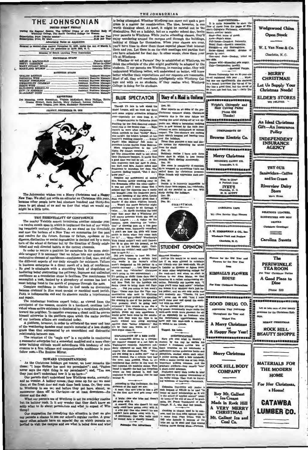# THE JOHNSONIAN

the Regular Session The Official Organ of the St Winthrop Onliege, The South Carolina Onlinge for W \$1.00 Per Year on Price (regular session)....

| Advertising Rates on Application                                                                                           |
|----------------------------------------------------------------------------------------------------------------------------|
| Entered as second-class matter November 21, 1923, under the Act of March 3.<br>1879, at the postoffice in Rock Hill, S. C. |
| Member of South Carolina Press Association                                                                                 |
| EDITORIAL STAFF                                                                                                            |
|                                                                                                                            |
| <b>BUSINESS STAFF</b>                                                                                                      |
| Assistant Business Manager<br>Assistant Business Manager<br>Assistant Business Manager                                     |

**REPORTERS** nnrvn říšek<br>Skrenk, Neijaha McKetthen, Mary Phillips, Hatt<br>Skrenk, Ruth Bethes, Mary Gallman, Lorena Calloway,<br>Jesuk Teague, Jean Moss, Madelelae Haynsworth Stewart,<br>Jesuie T FRIDAY, DECEMBER 10, 1935



The Johnsonian wishes you a Merry Christmas and a Happ<br>New Year. We shall not write an editorial on Christmas this year is year. because other people have had nineteen hundred and thirty-five years to get ahead of us and we fear that what we would say might be a little trite.

the weathering decades must contain material of a less shoddy<br>de than that represented by an unconfident and distrustful  $gr<sub>i</sub>$ relationship between men.

relationship between men.<br>The retention of the "eagle eye" la a requisite in conducting<br>a successful enterprise but a somewhat modified and a more char-<br>noter building attitude would subordinate this tendency of mis-<br>crean

#### TOWARD UNDERSTANDING

TOWARD UNDERSTANDING<br>
As the Christman holidays get near remarks like<br>
these: "I hope Mother has sent my permission"; and, "Father<br>
never says the right thing in my permission"; and, "Tou see,<br>
they just don't understand dinner and the day.

unner and the case of Winthrop is not its everyday routine<br>but its holiday rush. Is it any wonder that they don't know exactly what to do about permissions and what to expect of Win  $\overline{\mathbf{w}}$ throp?

Our suggestion for remedying this situation is that we give our suggestions are compared to the compared to the state of the compared to the compared to the compared of the compared of the compared of the compared of the compared of the compared of the compared of the compared of t

### THE JOHNSONIAN

is being attempted. Whether Winthrop can carry out such a pros being attempted, whether wintitrop can carry out such a pro-<br>gram is a matter for consideration. The idea, however, is one<br>worth thinking about. At least, it might be carried out in the diminuitive. Not on a holiday, hut on a regular school day, invite<br>your parents to Winthrop. While you're attending classes, they'll your parents to Winthrop. While you're attending classes, they'll point parents to Winthrop. While you're attendings and chrought are buildings, at things for the<br>melves. When your classes are over, you'll have time to sh life of Wintheson

ether or not a Parents' Day is established at Winthron. think the principle of the plan might profitably be adopted by the comes the principle of the plan might profitatory be adopted by the<br>students. If our parents see Winthrop, in running order, they will<br>understand Winthrop better, will understand us better, will know  $-11$ better whether their expectations and our requests are reasonable<br>Most of all, they will coordinate intelligently with Winthrop College and with us as students, if they realize what Winthrop

Though it's late to talk about the Amough its late to talk anous the r-capecially the ones from P. C.<br>Congratulations to Catherine Hunt

Noocent Galume represent at seeing<br>
now you!"... That is a seeing<br>
first the model of the seeing the Strangealle office the other night-<br>
he Breasealle office the other night-<br>
" was not until I went closer that I

the Bremesslee of<br>the its obser injula-one control of the mass center of the<br>set of the control of the state of the control of the bremesslee of<br>the control one brought icous the freehanan party ..., And speaking of the p



**EXPLANATION OF A BED FACE**<br>An automobile driven by a newspa-<br>per reporter stopped at a red light in the<br>Washington recently. Follownen sud-<br>leny sppeared on each ride of him,<br>report the Associated Place.<br> $16.4$  and the s reports the Associated Prace. "What reports the Associated Prace can be<br>the new point of the animal purched a free main purched. Then in the<br>membered that earlier the best header and reported has a reported has machine sto tell the pol  $M R$ 

According to The Technique, the five

According to The Technique, the five<br>divisions of the unde sex are:<br> $\cdot$  A man: One who tries to kiss a girl contract the first date and gets away with to A brute: One who tries and do

pet away with it.<br>A coward: One who doesn't try and<br>welly could have gotten away with it.<br>A wise gay: One who doesn't try and<br>couldn't have gotten away with it. calculate have gotten away with it, and couldn't have gotten away with it, and



**DAPPVNTTI** 

DAFFEREE to the page of stems from the page

 $mv$  and

Wadowsod China

**Open Stock**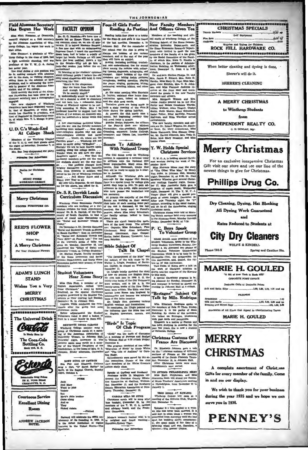**Field Alumnae Secrets** Freiu Alumnae Secretary<br>Has Begun Her Work

Mas Mary Russe ar, of Greenville engaged as a field secretary by the Alumnae Association of Winthrop College, has begun her work in that offi

er, a graduate of Win-Miss Net there seemed a graduate of Win-<br>throp College in the class of 1934, had<br>a high academic standing, and was  $at$  of the  $Y$ ,  $W$ ,  $G$ ,  $A$ , during

main a man and the position will<br>ender year. The chief duction of the position will<br>making constant, in visiting chapters, the stats, in visiting chapters,<br>it has no the station of the chief<br>man in the station of the Almen lle in  $out$  in ting the

roblems, ame as the Alumnus American interest of the Alumnia American interest in the action of the Alumnia and the action of the Alumnia and the action of the Alumnia and the second of the Alumnia contractor has been done

engaged.<br>Two new chapters of Winthrop<br>Daughters have been organized vecent-<br>by, that of Hampton, of which Mrs.<br>Aunis Les Clooding is president, and the Tartiand in Chesterfield coun-<br>tax of Partiand in Chesterfield coun-<br>t

### U. D. C.'s Week-End At College Shack

Members of the Winthrop Chapter<br>of the U. D. O. and their guests spent<br>the night of Saturday, December 7, at

s. Den Ivey chaperoned the party. Patronine Our Advertisers dies for Oh P. MUSIC STORE<br>WORKMAN-GREE Merry Christmas **COOPER FURNITURE CO. REID'S FLOWER SHOP** Wishes You A Merry Christmas For Your Christmas Plowers **ADAM'S LUNCH** 

**STAND** Wishes You a Very **MERRY** 

**CHRISTMAS** 

The Universal Drink Confoli In Made Hure by The Coca-Cola Bottling Co. **ak Hill, B. O.** 

,,,,,,,,,,,,,,,,,,

ckerat

128 N. Tryon Street<br>CHARLOTTE, N. C.

**Courteous Service Excellent Dining** 

Room

ANDREW JACKSON

Four-H Girls Prefer **FACULTY OPINION** France Control and Solid Control and Solid Control and Solid Control and Solid Control and Solid Control and Solid Control and Solid Control and Solid Control and Solid Control and Solid Control and Solid Control and Solid

to the senate-way not go more into the scale formula and find the scale in mixture is point in the scale of the scale of the scale of the scale of the scale of the scale of the scale of the scale of the scale of the scale

give the instructors a better break this<br>reach the coherrations are stated bither<br>from any order and you are: Any the Paculty members<br>and you are: Any the Paculty members<br>inter-collegiste debates why root also leads the p

d to the joy of Winthrom<br>I. . . . And Merry Xm<br>I. . . . And Merry Xm<br>Ay New Year to all. op fei a and a ar hifes **D** au.<br>orter do not blam

r the above, you asked for it.

Dr. S. R. Derrick Leads **Curriculum Discussion** 

Winchrop Home Economics Paculty<br>embers who are working on a curriculum revision for their department,<br>curre Dr. S. R. Derrick, of the Unit-<br>rate' Dr. S. R. Derrick, of the Unit-<br>ries of round table discussions on<br> $\epsilon$  if c

the "Social and accordinate" interaction of Defenders 2, 00. December 3, 00. December 3, 00. December 10, 00. December 10, 00. December 2014. The state of The Law of December 2014. The last of Dr. Leverte's series of takin ic 'frends on College &<br>helton Phelps, faculty<br>Home Economics su elps, faculty member<br>conomics and Society<br>ruts, and thirty Home

**Student Volunteers** 

# Hear Xmas Story

Miss Ohlo Fink, a member of the English department, recited "How Come Christman," a story by Roark Bradford, on the special Christman program presented by the Student Vol. program presented by the soutens volumes<br>there at their meeting last Sunday,<br>December 15, in Johnson Hall,<br>Virginia Willis conducted the devo-<br>tionals after the group had sung

as carols. Before adjournment the Stud Volunteers voted to send a basket of

**SEXTETTE SINGS CAROLS** SEXTERTEN SIGGS CARDINA and the method of Christman carels at a method in the large state in the large of the American Association of Christman Ball, Transdate method in the second behavior of Christman and the second beha

Johnson, Priday afterno n. Decembe

DUET SUNG AT CHURCH DEX SONG AT CHOICHEAD Cothran<br>
Eva Fair and Elizabeth Cothran<br>
sang a duct, "O' Sweet Savior" by<br>
Bach, at the Baptist Church, Sunday<br>
night, October 8.

### **PONCE**

Jack<br>And Mary<br>Went to pick<br>Violets But<br>Mary's Attle<br>Came along

ιm  $\overline{10}$ ug in 193<br>su of hi

**Reading As Pastime** ing holds first ni

hold a state meeting of the Four.Hold a state meeting of the Substantian control.<br>Links different the club meets once a month, but beginning January they<br>will meet twice a month.<br>We a month.<br>Highest webyn Patteson, the off

or the Four-H Caub are: Munree<br>Nunamaker, vice-president; Elizabeth<br>Cramling, secretary; Louise Collings<br>Treasurer; and Odessa Lee, Interstate Scouts To Affiliate

**With National Troop** 

The Ohrl Scout troop on Winthrop<br>campus is organizing a national Corp of fillate with the National Ohrl<br>Scout organization. May Alma Mo-<br>Laurin, first lieutensnt, thinks Mathematican May will be ready to apply for a char-

they will be reacy to specific the team data and the<br>model in Strainingh the Winklerep girls are over-uge for the regular Citi Beouts,<br>there is a special troop for college girls which they hope to joint. To gain a<br>familian

are necessary.<br>
At present the majority of the Girl At present the monotonic class terms working on their second class terms are monotonically as the conduction of the test is discussed. At the hast meeting, the tronop we about trees

about trees.<br>There are about twenty-five memi-<br>bers of the local troop The cifficers<br>are: Captain, Miss Schuchart; First<br>Lieutenant, Mary Ahan McLaurin; Scribe, Isabel Keston, Jana McLaurin;<br>Scribe, Isabel Keston; Treasure reen Reardor

#### **Bible Subject Of** Talk In Chapel

 $\begin{tabular}{|c|c|c|c|} \hline \textbf{1B} & \textbf{1B} & \textbf{1C} & \textbf{0B} & \textbf{0B} & \textbf{0B} & \textbf{0B} & \textbf{0B} & \textbf{0B} & \textbf{0B} & \textbf{0B} & \textbf{0B} & \textbf{0B} & \textbf{0B} & \textbf{0B} & \textbf{0B} & \textbf{0B} & \textbf{0B} & \textbf{0B} & \textbf{0B} & \textbf{0B} & \textbf{0B} & \textbf{0B} & \textbf{0B} & \textbf{0B} & \$ 

### "Birds" Is Topic Of Club Program

"Birds" was the topic of disc at a meeting of Forceps and Scalpel<br>in Tillman Hall at 4:20 o'clock Friday.<br>December 6. nber 6.

Incorember 6.<br>
The program consisted of two tales:<br>
The program consisted of two tales:<br>
"Migration of filte" by Annie While<br>
References are are were the the best<br>
References in the set of the side of the side of the side

Speaks at Gathay and Newberry Professor Willis D. Maginia addressed the Cheroke County Education at Gathay. December 11; and the Newberry Wedness County Education at Newberry. Thursday, December 12.

CAROLS WELL FOR SUNG<br>Christmas cards will be sung attestant cards will be sung attestant<br>taps tomogenite is by the prominent is, by the numbers of the Y. W. O. A. cabine<br>and advisory board, and the Fresh-<br>man Counselors.

Modern woman's fondest wish is to<br>e weighed and found wanting.-<br>fampden.Bydney Tiger.

And Officers Given Tea Reading badds first place as a hobby Members of the teaching and officer the Fearch first place as a hobby Members of the backing and office for the alternation. Both the state members of the state of the state and the st n of the to  $n$  and  $n\ell$ 

New Faculty Members !"

THE JOHNSONIAN

and Mrs and Mrs and Mrs and Mrs and Mrs and Labor and Mrs and Allian Wellber, Allee Tugley, Oladys<br>Isabel Potter, Rhe and Mrs and Isabel Potter, Ethel and Mrs and Isabel Potter, Ethel Allian Manuscul Research

noe: rotter, Ethel<br>|offman, and Eliza<br>|frekans|

refreshments.<br>The new faculty members and officers, are Dr. Robert Wiggins, Dr. Elean-<br>or Scott. Dr. Mary Armentrout, Miss.<br>Susan Hammack, Miss Eleanor Doug.<br>Lat. Mr. Harold Gilbreth, Mrs. Veda O.

## **Y. W. Holds Special** Christmas Services

 $\overline{\mathbf{x}}$ ,  $\overline{\mathbf{w}}$ . O. A. is holding special Christ-

 $\mathbf{T}, \mathbf{W}, G$ , A. is holding speed<br>at Christian contexts of the mass services of oring, the week of December 16-10.<br>In the mass services of the state of the state of the state of the<br>star. To these Wess Minns read the st

Christmas carols. Christmas carols.<br>Christmas stories were told at Morn-<br>ing Watch services held every morning<br>in the Alumnae Room, Monday through

in the Alumnae Room, Monday 11<br>Priday, December 16-20, at 7:30

P. C. Boys Speak To Volunteer Group

To Volumente Group<br>
Enter Group<br>
Expect Around Ande president of the<br>
Entert Around Ande president of the<br>
throp Studient Volument, spoise to the Win-<br>
Studient Volumenter Quarter and the Bission of the Bission<br>
convention

"Bretagne" Subject Of Talk by Mile. Rodrigue

Mile. Elizabeth Rodrique apoke to<br>the members of Beta Pi Theta Priday,<br>December 6. in the parlor of Main<br>Building. By choice of the members. Building. By choice of the members<br>the talked on Brictagne, illustrating<br>with post cards and pamphiets.<br>Elizabeth is a native of Nanton and

has been studying in America for the of Col Christmas Customs Of

**France Are Discussed** 

Dr. Elizabeth Johnson gave a talk<br>on the " aristmas outcoma of different<br>on the " aristmas outcoma of different<br>mesting of Le Oerele Prances at the monthly<br>alay. December 13, in Johnson Hull.<br>After Christmas carola were su

TO ATTEND PHILADELPHIA MEET MISS Ruth Stephenson and Miss<br>Jeannette Roth will attend the National Music Teachers' Associated in Fational Music Teachers' Association meeting<br>in Philadelphia, from December 21 to

meeting uary 1.

TRIO SINGS AT KIWANIS<br>Winthrop College trio sang at a<br>neeting of the Kiwanis Club, Wednes,<br>tay, December 11.

Spinster is a title applied to a wom-<br>an who has never been married. It is, asid that in olden times a woman was<br>probibiled from marring until she had spin in the partial interaction<br>spin. her wedding outflit: consequent-

INDEPENDENT REALTY CO.  $0.5$  Smrtin Mar

CHRISTMAS SPECIALS

seboomenaatennuu<br>Aalf Weelmaamk

Watches and Enlyse for Children<br>ROCK HILL HARDWARE CO.

When better cleaning and dyeing is done.

Sherer's will do it

SHERER'S CLEANING

A MERRY CHRISTMAS

to Winthrop Students

 $L_{\rm max}$ 

-----------------------------

Pire Sota<br>Andre

æ.

a er en

# **Merry Christmas**

For an exclusive inexpensive Christmas Gift visit our store and see our line of the newest things to give for Christmas



Dry Cleaning, Dysing, Hat Blocking

**All Dyeing Work Guaranteed** 

and

# Rates Reduced to Students at

# **City Dry Cleaners** WOLFE & KINDRLL

Phone 782.V

medadousin<br>Silk and Tr

**MERRY** 

in and see our display.

serve you in 1936.

**CHRISTMAS** 

**Spring and Canthon Str.** 

#### **MARIE H. GOULED And there were the first and the company of the company of the company of the company OPPOSITE PORT OPPICE** Desirable Citts at Desirable Below-**Sith and Batin Stine** 100 100 100 000 -- 0 --**PAJAMAS**

Accusación of All Minds that Annual to Tiernimination Thatse

MARIE H. GOULED

A complete assortment of Christ nas

We wish to thank you for your business

during the year 1935 and we hope we can

**PENNEY'S** 

Gifts for every member of the family. Come